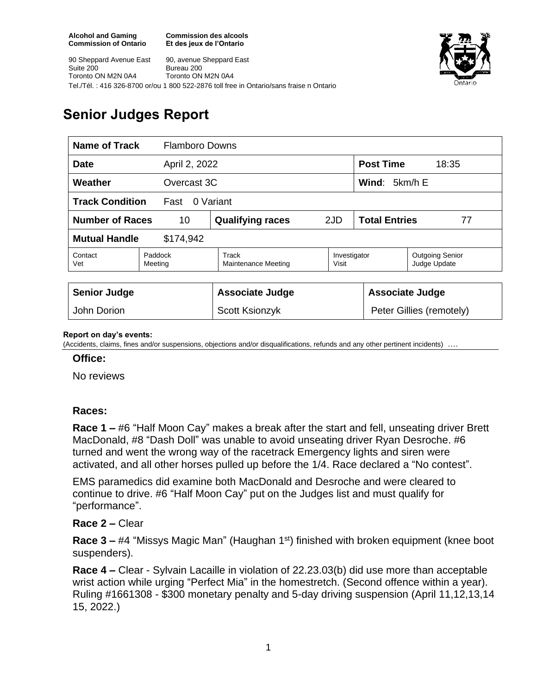**Commission des alcools Et des jeux de l'Ontario**



90 Sheppard Avenue East Suite 200 Toronto ON M2N 0A4 90, avenue Sheppard East Bureau 200 Toronto ON M2N 0A4 Tel./Tél. : 416 326-8700 or/ou 1 800 522-2876 toll free in Ontario/sans fraise n Ontario

# **Senior Judges Report**

| Name of Track<br><b>Flamboro Downs</b>      |                    |                              |                       |                            |                                        |
|---------------------------------------------|--------------------|------------------------------|-----------------------|----------------------------|----------------------------------------|
| <b>Date</b><br>April 2, 2022                |                    |                              |                       | <b>Post Time</b><br>18:35  |                                        |
| Weather<br>Overcast 3C                      |                    |                              |                       | Wind: $5km/h E$            |                                        |
| <b>Track Condition</b><br>0 Variant<br>Fast |                    |                              |                       |                            |                                        |
| <b>Number of Races</b><br>10                |                    | <b>Qualifying races</b>      | 2JD                   | <b>Total Entries</b><br>77 |                                        |
| <b>Mutual Handle</b><br>\$174,942           |                    |                              |                       |                            |                                        |
| Contact<br>Vet                              | Paddock<br>Meeting | Track<br>Maintenance Meeting | Investigator<br>Visit |                            | <b>Outgoing Senior</b><br>Judge Update |
|                                             |                    |                              |                       |                            |                                        |
| <b>Senior Judge</b>                         |                    | <b>Associate Judge</b>       |                       | <b>Associate Judge</b>     |                                        |
| John Dorion                                 |                    | Scott Ksionzyk               |                       | Peter Gillies (remotely)   |                                        |

### **Report on day's events:**

(Accidents, claims, fines and/or suspensions, objections and/or disqualifications, refunds and any other pertinent incidents) ….

### **Office:**

No reviews

# **Races:**

**Race 1 –** #6 "Half Moon Cay" makes a break after the start and fell, unseating driver Brett MacDonald, #8 "Dash Doll" was unable to avoid unseating driver Ryan Desroche. #6 turned and went the wrong way of the racetrack Emergency lights and siren were activated, and all other horses pulled up before the 1/4. Race declared a "No contest".

EMS paramedics did examine both MacDonald and Desroche and were cleared to continue to drive. #6 "Half Moon Cay" put on the Judges list and must qualify for "performance".

## **Race 2 –** Clear

**Race 3 – #4 "Missys Magic Man" (Haughan 1st) finished with broken equipment (knee boot** suspenders).

**Race 4 –** Clear - Sylvain Lacaille in violation of 22.23.03(b) did use more than acceptable wrist action while urging "Perfect Mia" in the homestretch. (Second offence within a year). Ruling #1661308 - \$300 monetary penalty and 5-day driving suspension (April 11,12,13,14 15, 2022.)